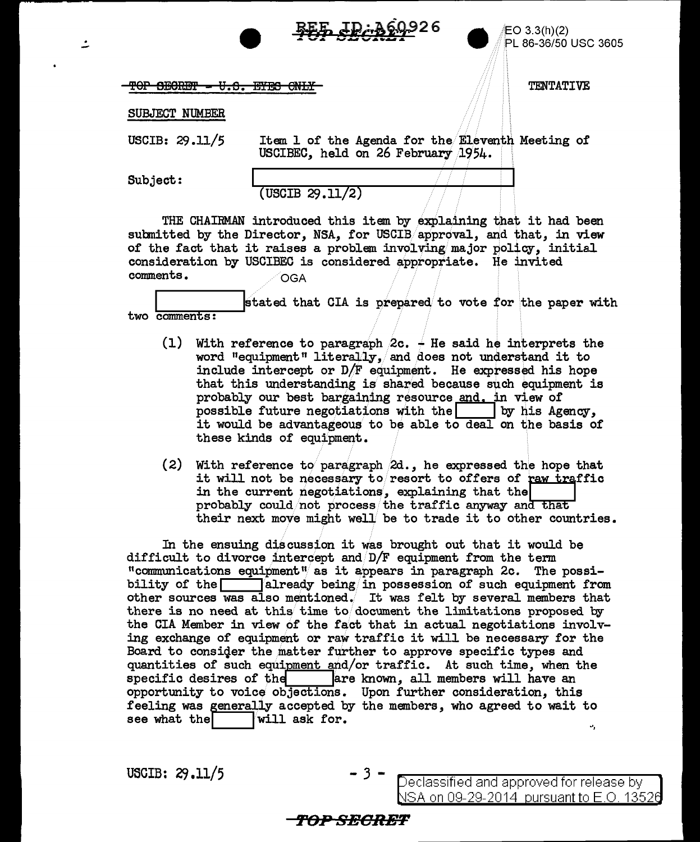

EO 3.3(h)(2) PL 86-36/50 USC 3605

**TENTATIVE** 

TOP SECRET - U.S. EYES ONLY

## SUBJECT NUMBER

USCIB: 29.11/5

Item 1 of the Agenda for the Eleventh Meeting of USCIBEC, held on 26 February 1954.

Subject:

 $($  USCIB  $29.11/2)$ 

THE CHAIRMAN introduced this item by explaining that it had been submitted by the Director, NSA, for USCIB approval, and that, in view of the fact that it raises a problem involving major policy, initial consideration by USCIBEC is considered appropriate. He invited comments. OGA

stated that CIA is prepared to vote for the paper with  $two$   $comments:$ 

- (1) With reference to paragraph  $2c.$   $\div$  He said he interprets the word "equipment" literally. and does not understand it to include intercept or  $D/F$  equipment. He expressed his hope that this understanding is shared because such equipment is probably our best bargaining resource and, in view of possible future negotiations with the by his Agency, it would be advantageous to be able to deal on the basis of these kinds of equipment.
- (2) With reference to paragraph  $2d.$ , he expressed the hope that it will not be necessary to resort to offers of raw traffic in the current negotiations, explaining that the probably could not process the traffic anyway and that their next move might well be to trade it to other countries.

In the ensuing discussion it was brought out that it would be difficult to divorce intercept and D/F equipment from the term "communications equipment" as it appears in paragraph 2c. The possibility of the  $\Box$  $\textsf{T}$ already being $\textsf{/in}$  possession of such equipment from other sources was also mentioned. It was felt by several members that there is no need at this time to document the limitations proposed by the CIA Member in view of the fact that in actual negotiations involving exchange of equipment or raw traffic it will be necessary for the Board to consider the matter further to approve specific types and quantities of such equipment and/or traffic. At such time, when the are known, all members will have an specific desires of the opportunity to voice objections. Upon further consideration, this feeling was generally accepted by the members, who agreed to wait to see what the will ask for. u,

USCIB:  $29.11/5$ 

Declassified and approved for release by NSA on 09-29-2014 pursuant to E.O. 13526

## *TOP SECRET*